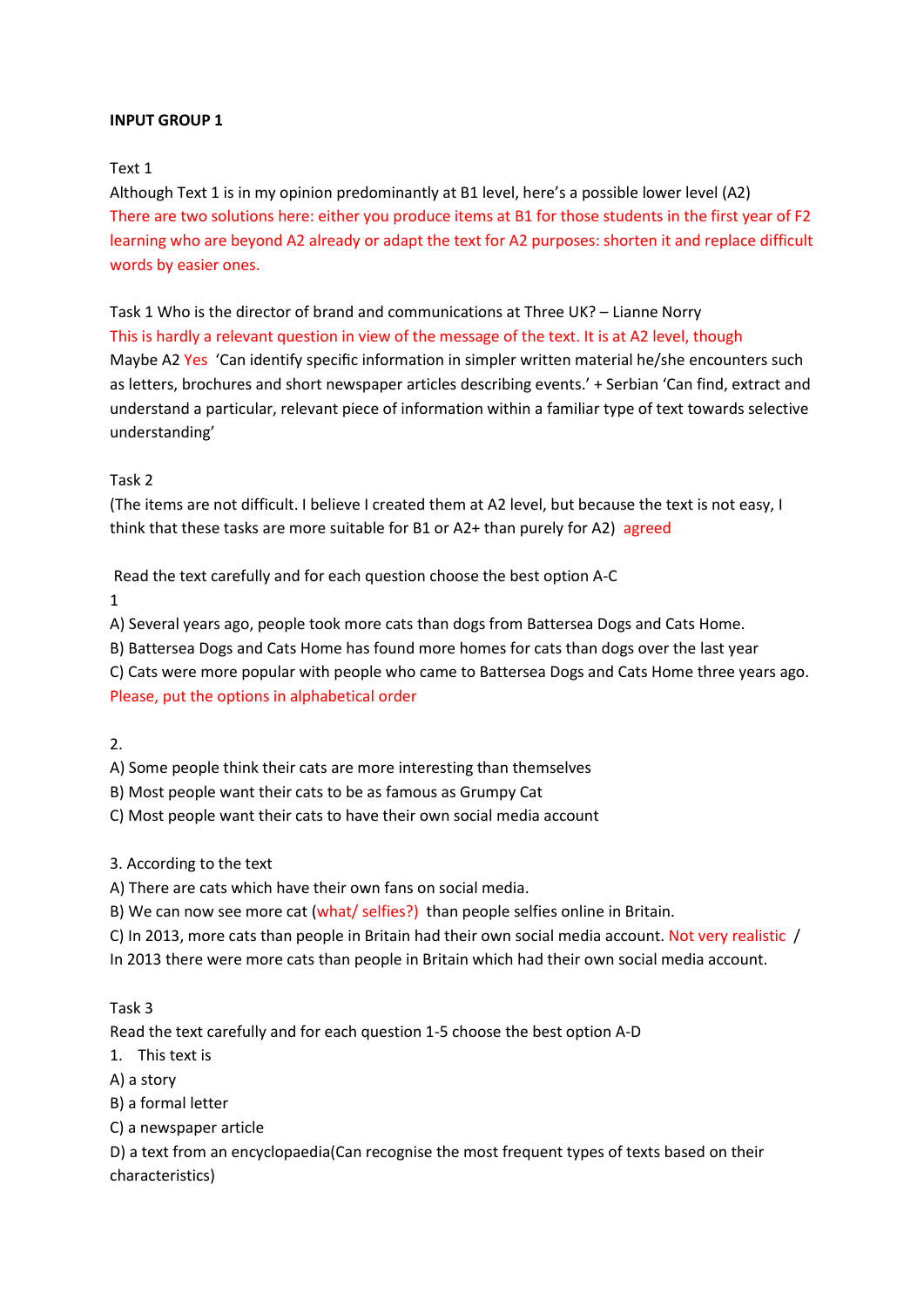### Text 1

Although Text 1 is in my opinion predominantly at B1 level, here's a possible lower level (A2) There are two solutions here: either you produce items at B1 for those students in the first year of F2 learning who are beyond A2 already or adapt the text for A2 purposes: shorten it and replace difficult words by easier ones.

Task 1 Who is the director of brand and communications at Three UK? – Lianne Norry This is hardly a relevant question in view of the message of the text. It is at A2 level, though Maybe A2 Yes 'Can identify specific information in simpler written material he/she encounters such as letters, brochures and short newspaper articles describing events.' + Serbian 'Can find, extract and understand a particular, relevant piece of information within a familiar type of text towards selective understanding'

## Task 2

(The items are not difficult. I believe I created them at A2 level, but because the text is not easy, I think that these tasks are more suitable for B1 or A2+ than purely for A2) agreed

Read the text carefully and for each question choose the best option A-C

1

A) Several years ago, people took more cats than dogs from Battersea Dogs and Cats Home.

B) Battersea Dogs and Cats Home has found more homes for cats than dogs over the last year

C) Cats were more popular with people who came to Battersea Dogs and Cats Home three years ago.

Please, put the options in alphabetical order

2.

A) Some people think their cats are more interesting than themselves

- B) Most people want their cats to be as famous as Grumpy Cat
- C) Most people want their cats to have their own social media account

#### 3. According to the text

A) There are cats which have their own fans on social media.

B) We can now see more cat (what/ selfies?) than people selfies online in Britain.

C) In 2013, more cats than people in Britain had their own social media account. Not very realistic /

In 2013 there were more cats than people in Britain which had their own social media account.

# Task 3

Read the text carefully and for each question 1-5 choose the best option A-D

1. This text is

A) a story

B) a formal letter

C) a newspaper article

D) a text from an encyclopaedia(Can recognise the most frequent types of texts based on their characteristics)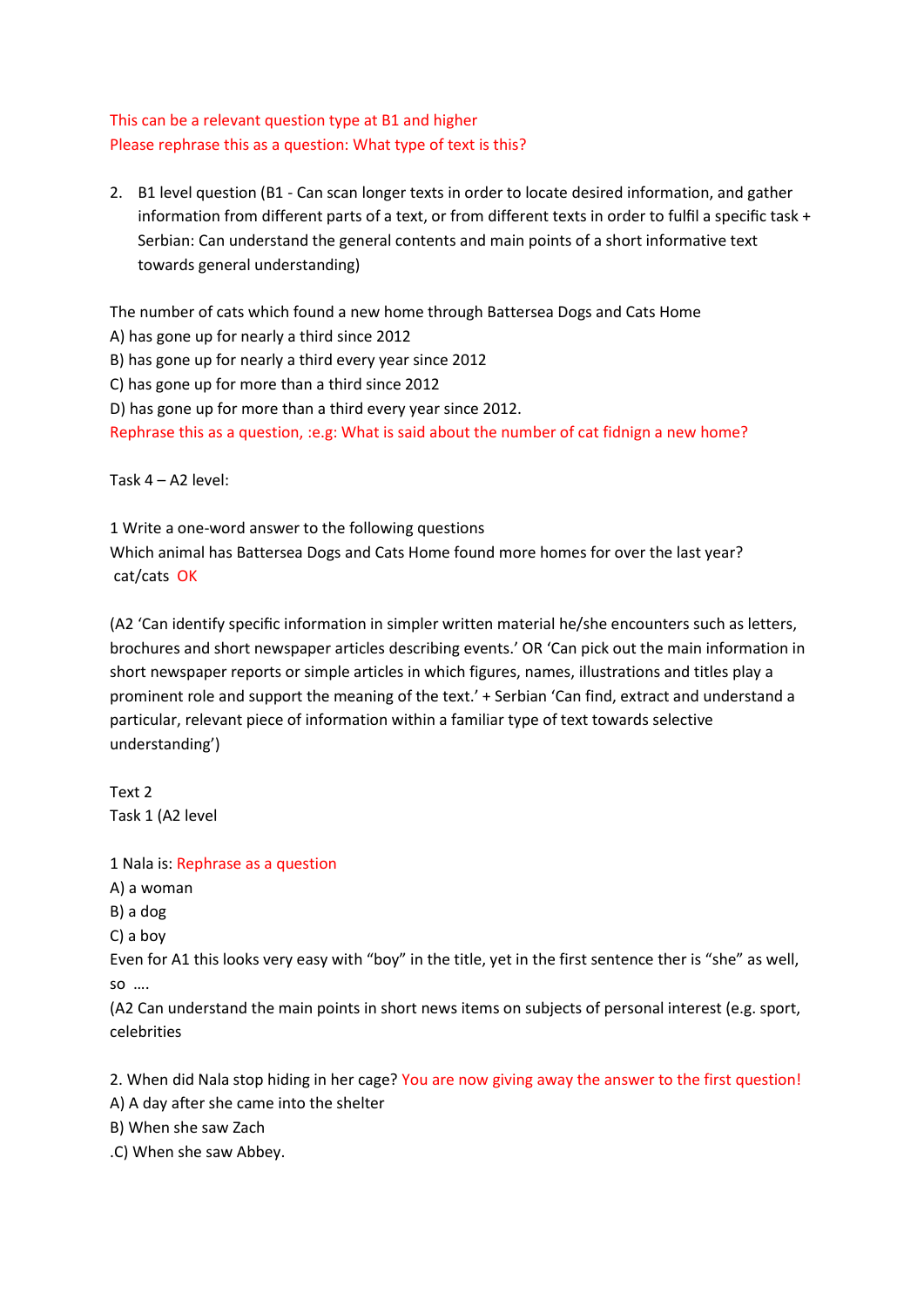# This can be a relevant question type at B1 and higher Please rephrase this as a question: What type of text is this?

2. B1 level question (B1 - Can scan longer texts in order to locate desired information, and gather information from different parts of a text, or from different texts in order to fulfil a specific task + Serbian: Can understand the general contents and main points of a short informative text towards general understanding)

The number of cats which found a new home through Battersea Dogs and Cats Home

A) has gone up for nearly a third since 2012

B) has gone up for nearly a third every year since 2012

C) has gone up for more than a third since 2012

D) has gone up for more than a third every year since 2012.

Rephrase this as a question, :e.g: What is said about the number of cat fidnign a new home?

Task 4 – A2 level:

1 Write a one-word answer to the following questions Which animal has Battersea Dogs and Cats Home found more homes for over the last year? cat/cats OK

(A2 'Can identify specific information in simpler written material he/she encounters such as letters, brochures and short newspaper articles describing events.' OR 'Can pick out the main information in short newspaper reports or simple articles in which figures, names, illustrations and titles play a prominent role and support the meaning of the text.' + Serbian 'Can find, extract and understand a particular, relevant piece of information within a familiar type of text towards selective understanding')

Text 2 Task 1 (A2 level

1 Nala is: Rephrase as a question

A) a woman

B) a dog

C) a boy

Even for A1 this looks very easy with "boy" in the title, yet in the first sentence ther is "she" as well, so ….

(A2 Can understand the main points in short news items on subjects of personal interest (e.g. sport, celebrities

2. When did Nala stop hiding in her cage? You are now giving away the answer to the first question!

A) A day after she came into the shelter

B) When she saw Zach

.C) When she saw Abbey.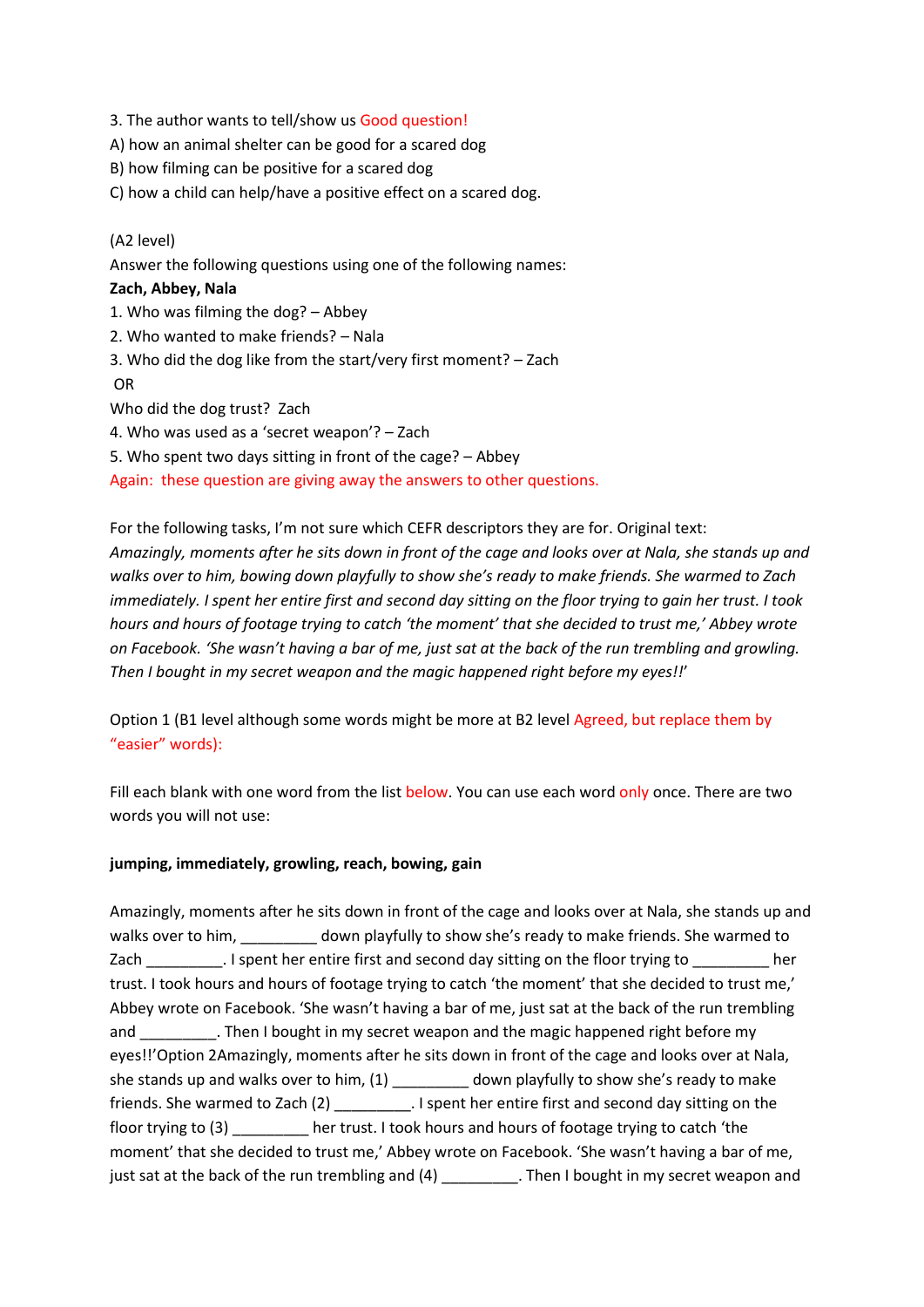- 3. The author wants to tell/show us Good question!
- A) how an animal shelter can be good for a scared dog
- B) how filming can be positive for a scared dog
- C) how a child can help/have a positive effect on a scared dog.

# (A2 level)

Answer the following questions using one of the following names:

### **Zach, Abbey, Nala**

1. Who was filming the dog? – Abbey 2. Who wanted to make friends? – Nala 3. Who did the dog like from the start/very first moment? – Zach OR Who did the dog trust? Zach 4. Who was used as a 'secret weapon'? – Zach 5. Who spent two days sitting in front of the cage? – Abbey

Again: these question are giving away the answers to other questions.

For the following tasks, I'm not sure which CEFR descriptors they are for. Original text: *Amazingly, moments after he sits down in front of the cage and looks over at Nala, she stands up and walks over to him, bowing down playfully to show she's ready to make friends. She warmed to Zach immediately. I spent her entire first and second day sitting on the floor trying to gain her trust. I took hours and hours of footage trying to catch 'the moment' that she decided to trust me,' Abbey wrote on Facebook. 'She wasn't having a bar of me, just sat at the back of the run trembling and growling. Then I bought in my secret weapon and the magic happened right before my eyes!!*'

Option 1 (B1 level although some words might be more at B2 level Agreed, but replace them by "easier" words):

Fill each blank with one word from the list below. You can use each word only once. There are two words you will not use:

#### **jumping, immediately, growling, reach, bowing, gain**

Amazingly, moments after he sits down in front of the cage and looks over at Nala, she stands up and walks over to him, \_\_\_\_\_\_\_\_\_ down playfully to show she's ready to make friends. She warmed to Zach **I** spent her entire first and second day sitting on the floor trying to Learn her trust. I took hours and hours of footage trying to catch 'the moment' that she decided to trust me,' Abbey wrote on Facebook. 'She wasn't having a bar of me, just sat at the back of the run trembling and Then I bought in my secret weapon and the magic happened right before my eyes!!'Option 2Amazingly, moments after he sits down in front of the cage and looks over at Nala, she stands up and walks over to him, (1) down playfully to show she's ready to make friends. She warmed to Zach (2) \_\_\_\_\_\_\_\_\_. I spent her entire first and second day sitting on the floor trying to (3) \_\_\_\_\_\_\_\_\_ her trust. I took hours and hours of footage trying to catch 'the moment' that she decided to trust me,' Abbey wrote on Facebook. 'She wasn't having a bar of me, just sat at the back of the run trembling and (4) \_\_\_\_\_\_\_\_\_\_. Then I bought in my secret weapon and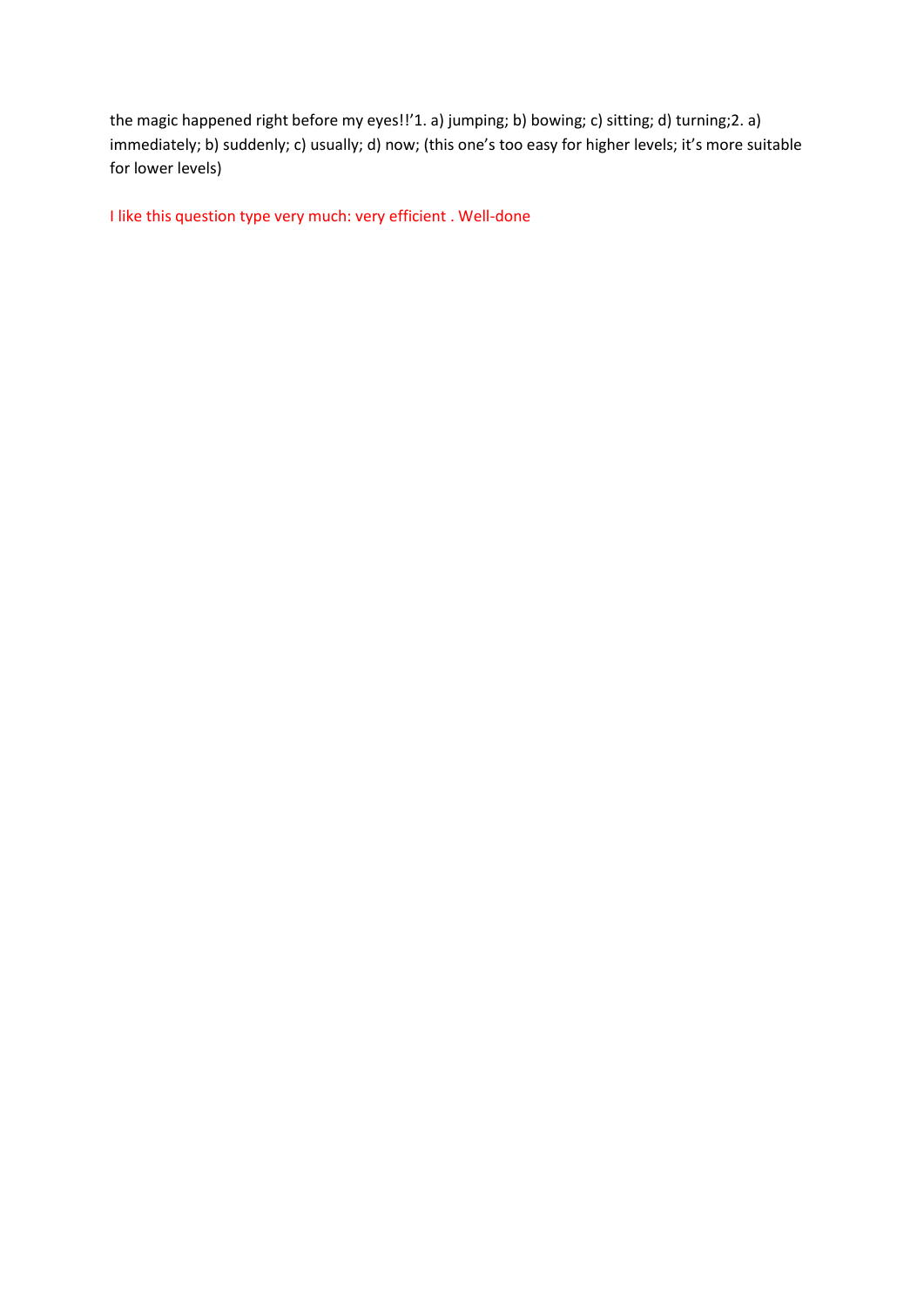the magic happened right before my eyes!!'1. a) jumping; b) bowing; c) sitting; d) turning;2. a) immediately; b) suddenly; c) usually; d) now; (this one's too easy for higher levels; it's more suitable for lower levels)

I like this question type very much: very efficient . Well-done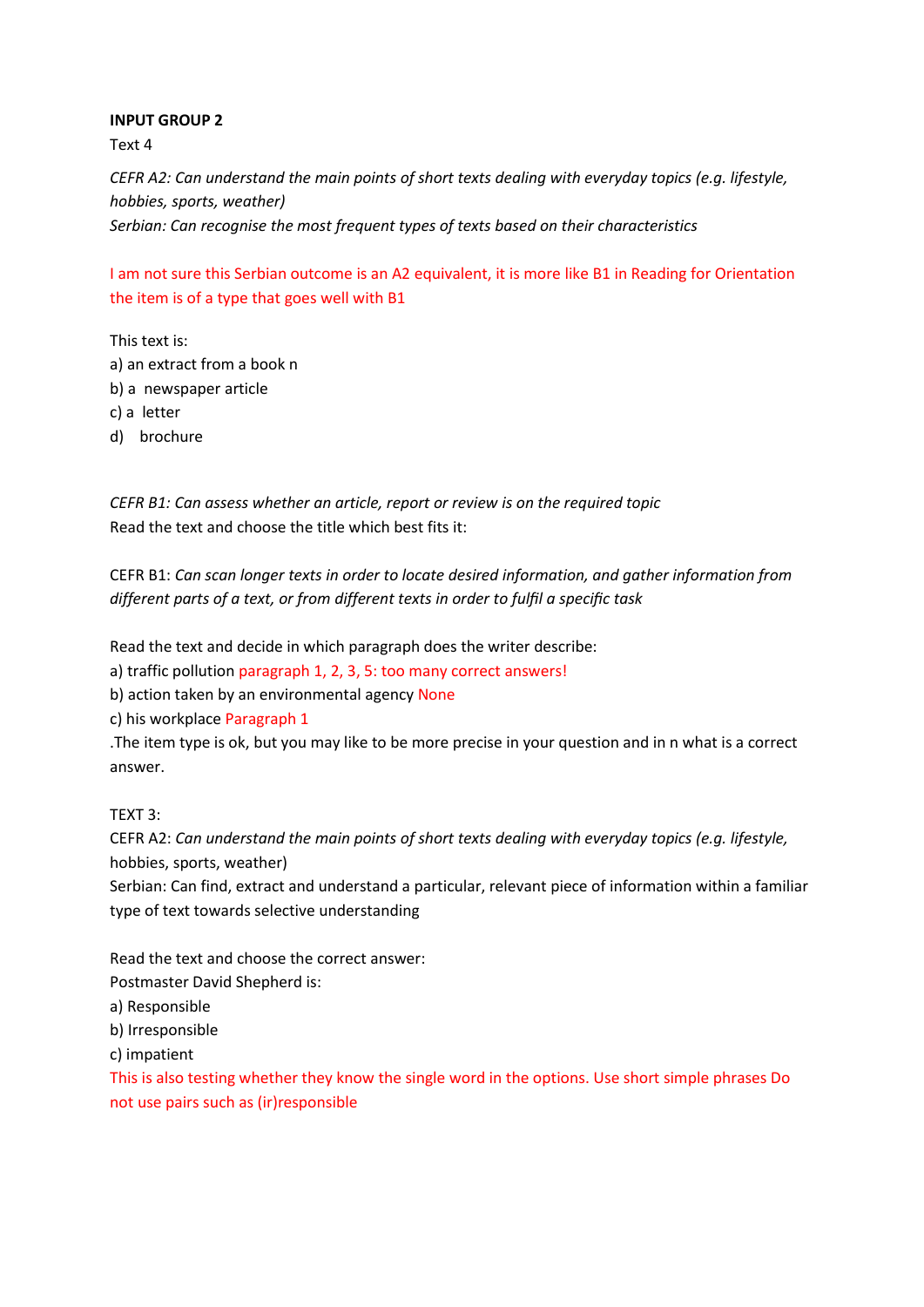Text 4

*CEFR A2: Can understand the main points of short texts dealing with everyday topics (e.g. lifestyle, hobbies, sports, weather) Serbian: Can recognise the most frequent types of texts based on their characteristics*

I am not sure this Serbian outcome is an A2 equivalent, it is more like B1 in Reading for Orientation the item is of a type that goes well with B1

This text is: a) an extract from a book n b) a newspaper article c) a letter

d) brochure

*CEFR B1: Can assess whether an article, report or review is on the required topic* Read the text and choose the title which best fits it:

CEFR B1: *Can scan longer texts in order to locate desired information, and gather information from different parts of a text, or from different texts in order to fulfil a specific task*

Read the text and decide in which paragraph does the writer describe:

a) traffic pollution paragraph 1, 2, 3, 5: too many correct answers!

b) action taken by an environmental agency None

c) his workplace Paragraph 1

.The item type is ok, but you may like to be more precise in your question and in n what is a correct answer.

TEXT 3:

CEFR A2: *Can understand the main points of short texts dealing with everyday topics (e.g. lifestyle,* hobbies, sports, weather)

Serbian: Can find, extract and understand a particular, relevant piece of information within a familiar type of text towards selective understanding

Read the text and choose the correct answer:

Postmaster David Shepherd is:

a) Responsible

b) Irresponsible

c) impatient

This is also testing whether they know the single word in the options. Use short simple phrases Do not use pairs such as (ir)responsible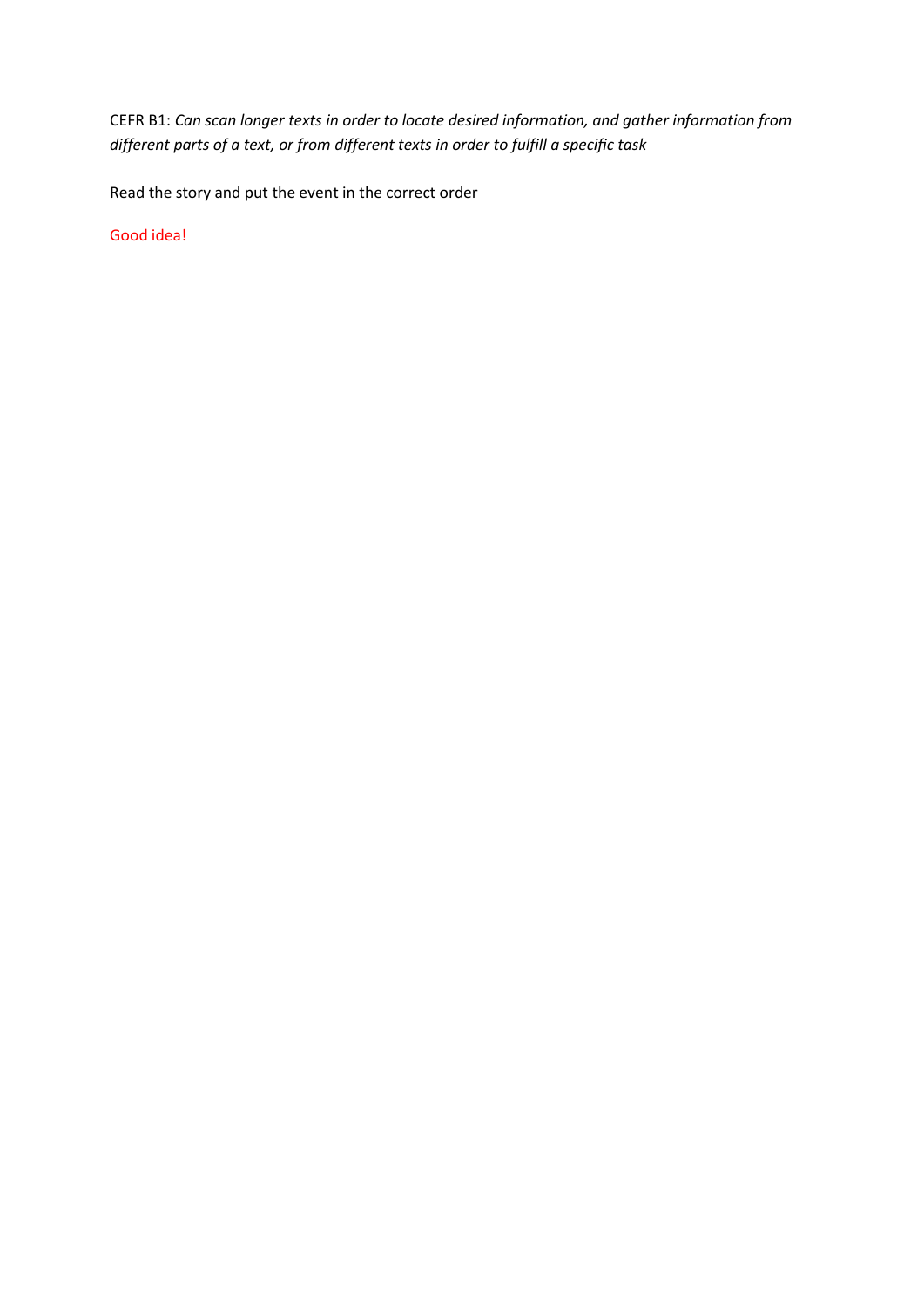CEFR B1: *Can scan longer texts in order to locate desired information, and gather information from different parts of a text, or from different texts in order to fulfill a specific task*

Read the story and put the event in the correct order

Good idea!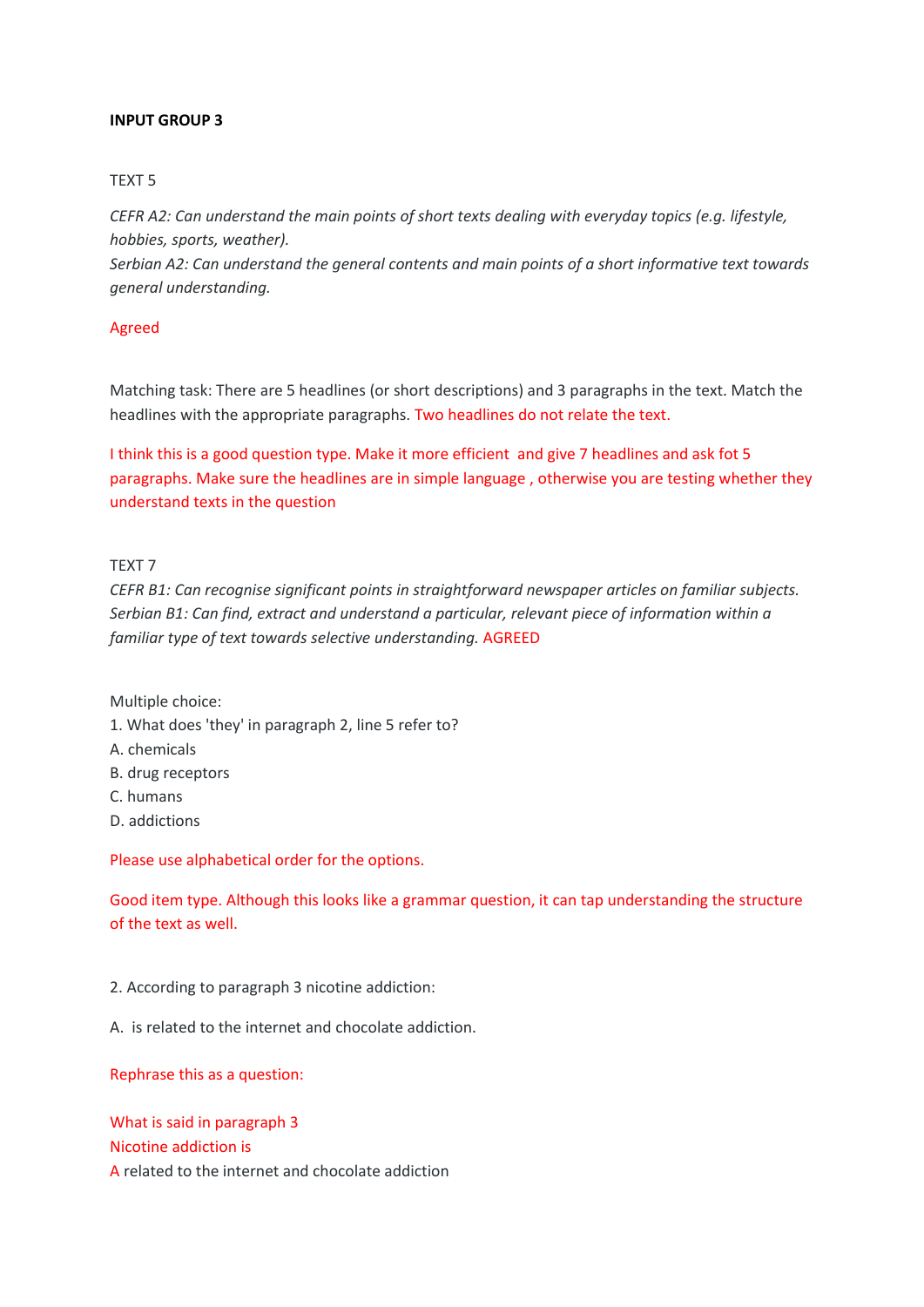### TEXT 5

*CEFR A2: Can understand the main points of short texts dealing with everyday topics (e.g. lifestyle, hobbies, sports, weather).*

*Serbian A2: Can understand the general contents and main points of a short informative text towards general understanding.*

## Agreed

Matching task: There are 5 headlines (or short descriptions) and 3 paragraphs in the text. Match the headlines with the appropriate paragraphs. Two headlines do not relate the text.

I think this is a good question type. Make it more efficient and give 7 headlines and ask fot 5 paragraphs. Make sure the headlines are in simple language , otherwise you are testing whether they understand texts in the question

## TEXT 7

*CEFR B1: Can recognise significant points in straightforward newspaper articles on familiar subjects. Serbian B1: Can find, extract and understand a particular, relevant piece of information within a familiar type of text towards selective understanding.* AGREED

Multiple choice:

- 1. What does 'they' in paragraph 2, line 5 refer to?
- A. chemicals
- B. drug receptors
- C. humans
- D. addictions

Please use alphabetical order for the options.

Good item type. Although this looks like a grammar question, it can tap understanding the structure of the text as well.

2. According to paragraph 3 nicotine addiction:

A. is related to the internet and chocolate addiction.

#### Rephrase this as a question:

What is said in paragraph 3 Nicotine addiction is A related to the internet and chocolate addiction